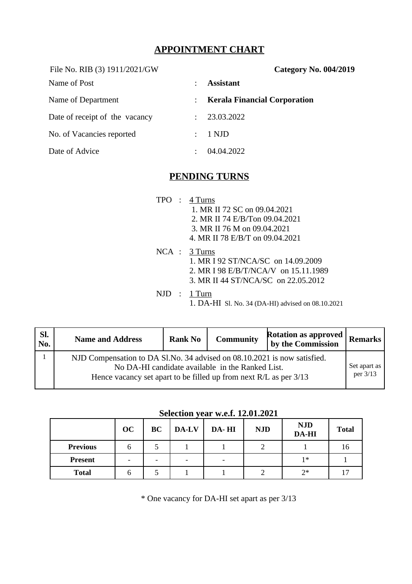## **APPOINTMENT CHART**

File No. RIB (3) 1911/2021/GW **Category No. 004/2019** Name of Post  $\qquad \qquad : \qquad$  **Assistant** Name of Department **:** *Kerala Financial Corporation* Date of receipt of the vacancy : 23.03.2022 No. of Vacancies reported : 1 NJD Date of Advice : 04.04.2022

# **PENDING TURNS**

#### TPO : 4 Turns

- 1. MR II 72 SC on 09.04.2021
- 2. MR II 74 E/B/Ton 09.04.2021
- 3. MR II 76 M on 09.04.2021
- 4. MR II 78 E/B/T on 09.04.2021
- NCA : 3 Turns 1. MR I 92 ST/NCA/SC on 14.09.2009 2. MR I 98 E/B/T/NCA/V on 15.11.1989 3. MR II 44 ST/NCA/SC on 22.05.2012
- NJD : 1 Turn
	- 1. DA-HI Sl. No. 34 (DA-HI) advised on 08.10.2021

| Sl.<br>No. | <b>Name and Address</b>                                                                                               | <b>Rank No</b> | <b>Community</b> | <b>Rotation as approved</b><br>by the Commission | Remarks |  |  |
|------------|-----------------------------------------------------------------------------------------------------------------------|----------------|------------------|--------------------------------------------------|---------|--|--|
|            | NJD Compensation to DA Sl.No. 34 advised on 08.10.2021 is now satisfied.                                              |                |                  |                                                  |         |  |  |
|            | No DA-HI candidate available in the Ranked List.<br>Hence vacancy set apart to be filled up from next R/L as per 3/13 |                |                  |                                                  |         |  |  |

#### **Selection year w.e.f. 12.01.2021**

|                 | OC | BC | DA-LV                    | DA-HI                    | <b>NJD</b> | <b>NJD</b><br><b>DA-HI</b> | <b>Total</b> |
|-----------------|----|----|--------------------------|--------------------------|------------|----------------------------|--------------|
| <b>Previous</b> | n  | כ  |                          |                          |            |                            | 16           |
| Present         | -  | -  | $\overline{\phantom{0}}$ | $\overline{\phantom{0}}$ |            | $1*$                       |              |
| <b>Total</b>    | b  | .C |                          |                          |            | $7*$                       |              |

\* One vacancy for DA-HI set apart as per 3/13